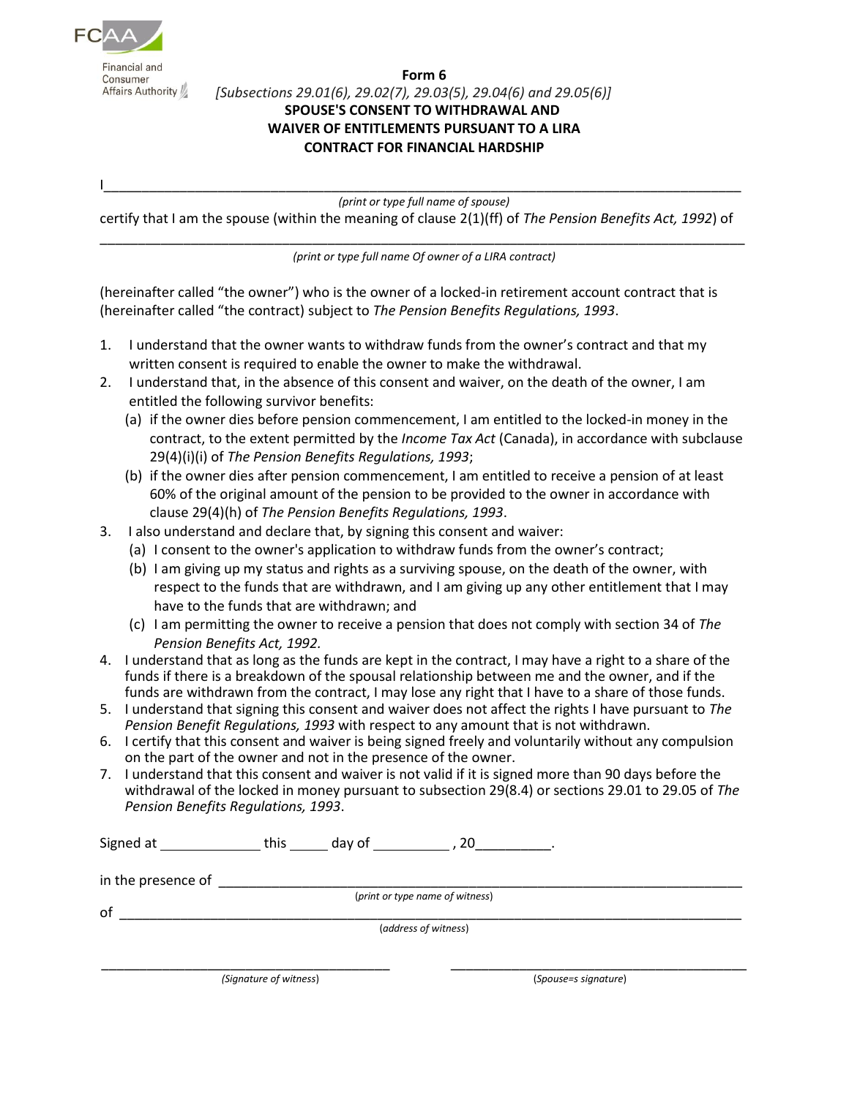

Financial and Consumer Affairs Authority

## **Form 6** *[Subsections 29.01(6), 29.02(7), 29.03(5), 29.04(6) and 29.05(6)]* **SPOUSE'S CONSENT TO WITHDRAWAL AND WAIVER OF ENTITLEMENTS PURSUANT TO A LIRA CONTRACT FOR FINANCIAL HARDSHIP**

I\_\_\_\_\_\_\_\_\_\_\_\_\_\_\_\_\_\_\_\_\_\_\_\_\_\_\_\_\_\_\_\_\_\_\_\_\_\_\_\_\_\_\_\_\_\_\_\_\_\_\_\_\_\_\_\_\_\_\_\_\_\_\_\_\_\_\_\_\_\_\_\_\_\_\_\_\_\_\_\_\_\_\_\_

*(print or type full name of spouse)*

certify that I am the spouse (within the meaning of clause 2(1)(ff) of *The Pension Benefits Act, 1992*) of

\_\_\_\_\_\_\_\_\_\_\_\_\_\_\_\_\_\_\_\_\_\_\_\_\_\_\_\_\_\_\_\_\_\_\_\_\_\_\_\_\_\_\_\_\_\_\_\_\_\_\_\_\_\_\_\_\_\_\_\_\_\_\_\_\_\_\_\_\_\_\_\_\_\_\_\_\_\_\_\_\_\_\_\_\_ *(print or type full name Of owner of a LIRA contract)*

(hereinafter called "the owner") who is the owner of a locked-in retirement account contract that is (hereinafter called "the contract) subject to *The Pension Benefits Regulations, 1993*.

- 1. I understand that the owner wants to withdraw funds from the owner's contract and that my written consent is required to enable the owner to make the withdrawal.
- 2. I understand that, in the absence of this consent and waiver, on the death of the owner, I am entitled the following survivor benefits:
	- (a) if the owner dies before pension commencement, I am entitled to the locked-in money in the contract, to the extent permitted by the *Income Tax Act* (Canada), in accordance with subclause 29(4)(i)(i) of *The Pension Benefits Regulations, 1993*;
	- (b) if the owner dies after pension commencement, I am entitled to receive a pension of at least 60% of the original amount of the pension to be provided to the owner in accordance with clause 29(4)(h) of *The Pension Benefits Regulations, 1993*.
- 3. I also understand and declare that, by signing this consent and waiver:
	- (a) I consent to the owner's application to withdraw funds from the owner's contract;
	- (b) I am giving up my status and rights as a surviving spouse, on the death of the owner, with respect to the funds that are withdrawn, and I am giving up any other entitlement that I may have to the funds that are withdrawn; and
	- (c) I am permitting the owner to receive a pension that does not comply with section 34 of *The Pension Benefits Act, 1992.*
- 4. I understand that as long as the funds are kept in the contract, I may have a right to a share of the funds if there is a breakdown of the spousal relationship between me and the owner, and if the funds are withdrawn from the contract, I may lose any right that I have to a share of those funds.
- 5. I understand that signing this consent and waiver does not affect the rights I have pursuant to *The Pension Benefit Regulations, 1993* with respect to any amount that is not withdrawn.
- 6. I certify that this consent and waiver is being signed freely and voluntarily without any compulsion on the part of the owner and not in the presence of the owner.
- 7. I understand that this consent and waiver is not valid if it is signed more than 90 days before the withdrawal of the locked in money pursuant to subsection 29(8.4) or sections 29.01 to 29.05 of *The Pension Benefits Regulations, 1993*.

| Signed at          | this<br>day of         | 20                              |
|--------------------|------------------------|---------------------------------|
| in the presence of |                        |                                 |
|                    |                        | (print or type name of witness) |
| of                 |                        |                                 |
|                    |                        | (address of witness)            |
|                    |                        |                                 |
|                    | (Signature of witness) | (Spouse=s signature)            |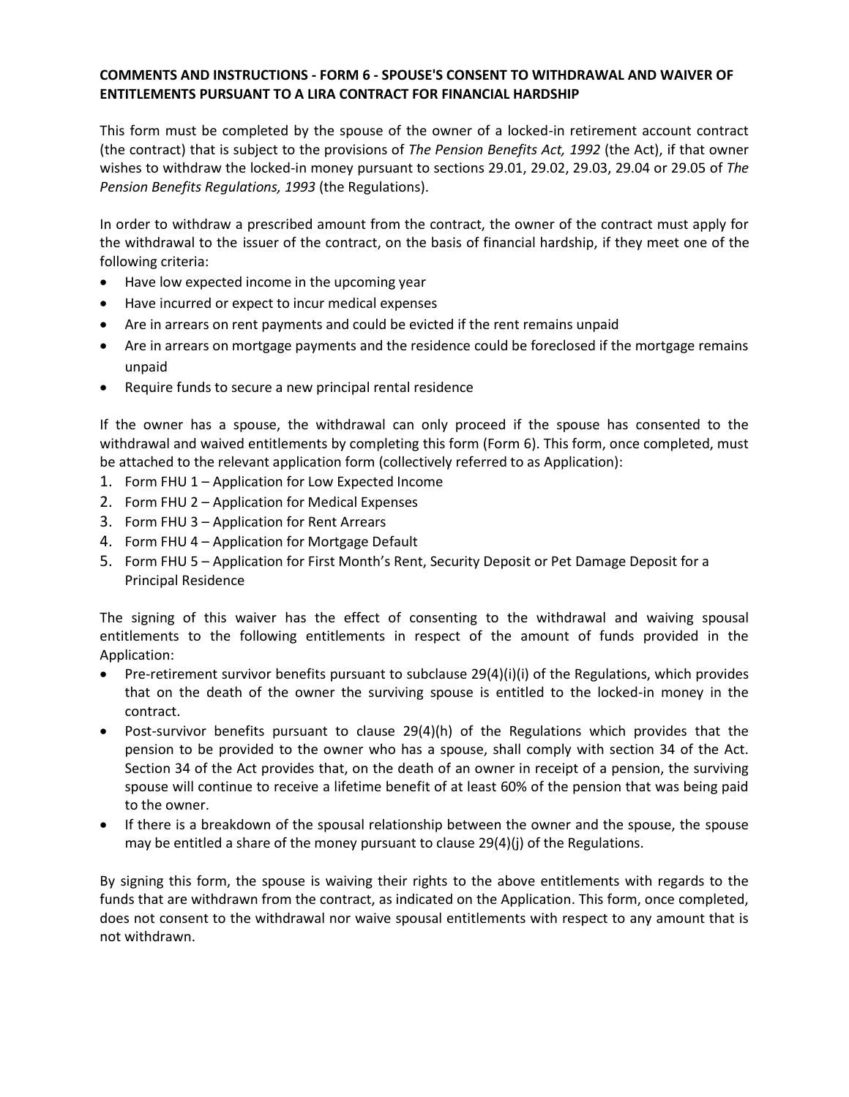## **COMMENTS AND INSTRUCTIONS - FORM 6 - SPOUSE'S CONSENT TO WITHDRAWAL AND WAIVER OF ENTITLEMENTS PURSUANT TO A LIRA CONTRACT FOR FINANCIAL HARDSHIP**

This form must be completed by the spouse of the owner of a locked-in retirement account contract (the contract) that is subject to the provisions of *The Pension Benefits Act, 1992* (the Act), if that owner wishes to withdraw the locked-in money pursuant to sections 29.01, 29.02, 29.03, 29.04 or 29.05 of *The Pension Benefits Regulations, 1993* (the Regulations).

In order to withdraw a prescribed amount from the contract, the owner of the contract must apply for the withdrawal to the issuer of the contract, on the basis of financial hardship, if they meet one of the following criteria:

- Have low expected income in the upcoming year
- Have incurred or expect to incur medical expenses
- Are in arrears on rent payments and could be evicted if the rent remains unpaid
- Are in arrears on mortgage payments and the residence could be foreclosed if the mortgage remains unpaid
- Require funds to secure a new principal rental residence

If the owner has a spouse, the withdrawal can only proceed if the spouse has consented to the withdrawal and waived entitlements by completing this form (Form 6). This form, once completed, must be attached to the relevant application form (collectively referred to as Application):

- 1. Form FHU 1 Application for Low Expected Income
- 2. Form FHU 2 Application for Medical Expenses
- 3. Form FHU 3 Application for Rent Arrears
- 4. Form FHU 4 Application for Mortgage Default
- 5. Form FHU 5 Application for First Month's Rent, Security Deposit or Pet Damage Deposit for a Principal Residence

The signing of this waiver has the effect of consenting to the withdrawal and waiving spousal entitlements to the following entitlements in respect of the amount of funds provided in the Application:

- Pre-retirement survivor benefits pursuant to subclause 29(4)(i)(i) of the Regulations, which provides that on the death of the owner the surviving spouse is entitled to the locked-in money in the contract.
- Post-survivor benefits pursuant to clause 29(4)(h) of the Regulations which provides that the pension to be provided to the owner who has a spouse, shall comply with section 34 of the Act. Section 34 of the Act provides that, on the death of an owner in receipt of a pension, the surviving spouse will continue to receive a lifetime benefit of at least 60% of the pension that was being paid to the owner.
- If there is a breakdown of the spousal relationship between the owner and the spouse, the spouse may be entitled a share of the money pursuant to clause  $29(4)(j)$  of the Regulations.

By signing this form, the spouse is waiving their rights to the above entitlements with regards to the funds that are withdrawn from the contract, as indicated on the Application. This form, once completed, does not consent to the withdrawal nor waive spousal entitlements with respect to any amount that is not withdrawn.